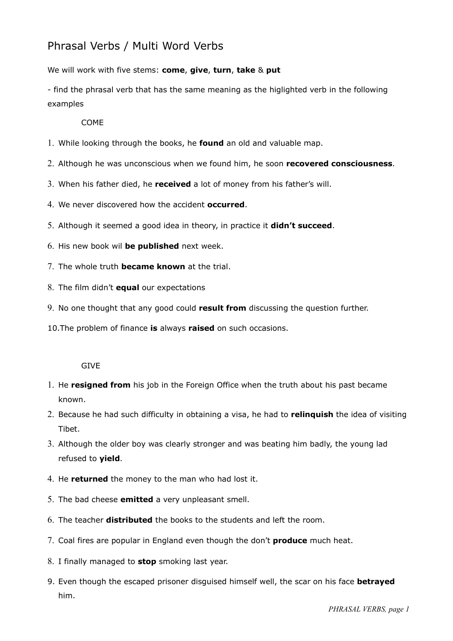# Phrasal Verbs / Multi Word Verbs

We will work with five stems: **come**, **give**, **turn**, **take** & **put**

- find the phrasal verb that has the same meaning as the higlighted verb in the following examples

## COME

- 1. While looking through the books, he **found** an old and valuable map.
- 2. Although he was unconscious when we found him, he soon **recovered consciousness**.
- 3. When his father died, he **received** a lot of money from his father's will.
- 4. We never discovered how the accident **occurred**.
- 5. Although it seemed a good idea in theory, in practice it **didn't succeed**.
- 6. His new book wil **be published** next week.
- 7. The whole truth **became known** at the trial.
- 8. The film didn't **equal** our expectations
- 9. No one thought that any good could **result from** discussing the question further.
- 10.The problem of finance **is** always **raised** on such occasions.

#### GIVE

- 1. He **resigned from** his job in the Foreign Office when the truth about his past became known.
- 2. Because he had such difficulty in obtaining a visa, he had to **relinquish** the idea of visiting Tibet.
- 3. Although the older boy was clearly stronger and was beating him badly, the young lad refused to **yield**.
- 4. He **returned** the money to the man who had lost it.
- 5. The bad cheese **emitted** a very unpleasant smell.
- 6. The teacher **distributed** the books to the students and left the room.
- 7. Coal fires are popular in England even though the don't **produce** much heat.
- 8. I finally managed to **stop** smoking last year.
- 9. Even though the escaped prisoner disguised himself well, the scar on his face **betrayed** him.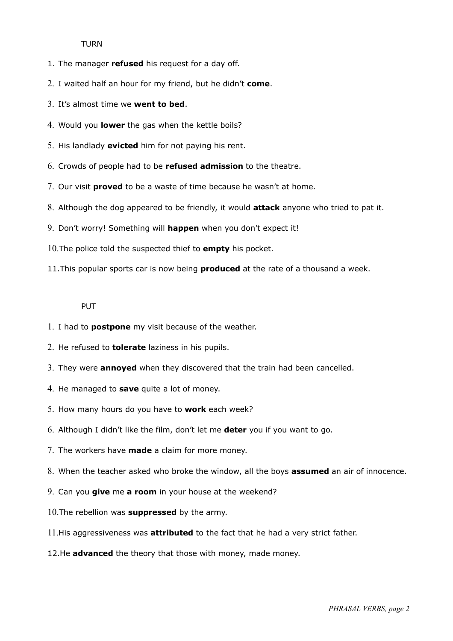#### TURN

- 1. The manager **refused** his request for a day off.
- 2. I waited half an hour for my friend, but he didn't **come**.
- 3. It's almost time we **went to bed**.
- 4. Would you **lower** the gas when the kettle boils?
- 5. His landlady **evicted** him for not paying his rent.
- 6. Crowds of people had to be **refused admission** to the theatre.
- 7. Our visit **proved** to be a waste of time because he wasn't at home.
- 8. Although the dog appeared to be friendly, it would **attack** anyone who tried to pat it.
- 9. Don't worry! Something will **happen** when you don't expect it!
- 10.The police told the suspected thief to **empty** his pocket.
- 11.This popular sports car is now being **produced** at the rate of a thousand a week.

### PUT

- 1. I had to **postpone** my visit because of the weather.
- 2. He refused to **tolerate** laziness in his pupils.
- 3. They were **annoyed** when they discovered that the train had been cancelled.
- 4. He managed to **save** quite a lot of money.
- 5. How many hours do you have to **work** each week?
- 6. Although I didn't like the film, don't let me **deter** you if you want to go.
- 7. The workers have **made** a claim for more money.
- 8. When the teacher asked who broke the window, all the boys **assumed** an air of innocence.
- 9. Can you **give** me **a room** in your house at the weekend?
- 10.The rebellion was **suppressed** by the army.
- 11.His aggressiveness was **attributed** to the fact that he had a very strict father.
- 12.He **advanced** the theory that those with money, made money.